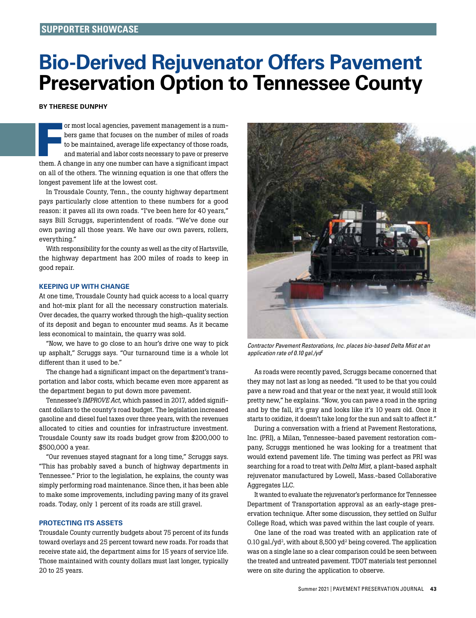# **Bio-Derived Rejuvenator Offers Pavement Preservation Option to Tennessee County**

## **BY THERESE DUNPHY**

or most local agencies, pavement management is a numbers game that focuses on the number of miles of roads to be maintained, average life expectancy of those roads, and material and labor costs necessary to pave or preserv bers game that focuses on the number of miles of roads to be maintained, average life expectancy of those roads, and material and labor costs necessary to pave or preserve them. A change in any one number can have a significant impact on all of the others. The winning equation is one that offers the longest pavement life at the lowest cost.

In Trousdale County, Tenn., the county highway department pays particularly close attention to these numbers for a good reason: it paves all its own roads. "I've been here for 40 years," says Bill Scruggs, superintendent of roads. "We've done our own paving all those years. We have our own pavers, rollers, everything."

With responsibility for the county as well as the city of Hartsville, the highway department has 200 miles of roads to keep in good repair.

## **KEEPING UP WITH CHANGE**

At one time, Trousdale County had quick access to a local quarry and hot-mix plant for all the necessary construction materials. Over decades, the quarry worked through the high-quality section of its deposit and began to encounter mud seams. As it became less economical to maintain, the quarry was sold.

"Now, we have to go close to an hour's drive one way to pick up asphalt," Scruggs says. "Our turnaround time is a whole lot different than it used to be."

The change had a significant impact on the department's transportation and labor costs, which became even more apparent as the department began to put down more pavement.

Tennessee's *IMPROVE Act*, which passed in 2017, added significant dollars to the county's road budget. The legislation increased gasoline and diesel fuel taxes over three years, with the revenues allocated to cities and counties for infrastructure investment. Trousdale County saw its roads budget grow from \$200,000 to \$500,000 a year.

"Our revenues stayed stagnant for a long time," Scruggs says. "This has probably saved a bunch of highway departments in Tennessee." Prior to the legislation, he explains, the county was simply performing road maintenance. Since then, it has been able to make some improvements, including paving many of its gravel roads. Today, only 1 percent of its roads are still gravel.

#### **PROTECTING ITS ASSETS**

Trousdale County currently budgets about 75 percent of its funds toward overlays and 25 percent toward new roads. For roads that receive state aid, the department aims for 15 years of service life. Those maintained with county dollars must last longer, typically 20 to 25 years.



*Contractor Pavement Restorations, Inc. places bio-based Delta Mist at an application rate of 0.10 gal./yd2*

As roads were recently paved, Scruggs became concerned that they may not last as long as needed. "It used to be that you could pave a new road and that year or the next year, it would still look pretty new," he explains. "Now, you can pave a road in the spring and by the fall, it's gray and looks like it's 10 years old. Once it starts to oxidize, it doesn't take long for the sun and salt to affect it."

During a conversation with a friend at Pavement Restorations, Inc. (PRI), a Milan, Tennessee-based pavement restoration company, Scruggs mentioned he was looking for a treatment that would extend pavement life. The timing was perfect as PRI was searching for a road to treat with *Delta Mist*, a plant-based asphalt rejuvenator manufactured by Lowell, Mass.-based Collaborative Aggregates LLC.

It wanted to evaluate the rejuvenator's performance for Tennessee Department of Transportation approval as an early-stage preservation technique. After some discussion, they settled on Sulfur College Road, which was paved within the last couple of years.

One lane of the road was treated with an application rate of 0.10 gal./yd $^2$ , with about 8,500 yd $^2$  being covered. The application was on a single lane so a clear comparison could be seen between the treated and untreated pavement. TDOT materials test personnel were on site during the application to observe.